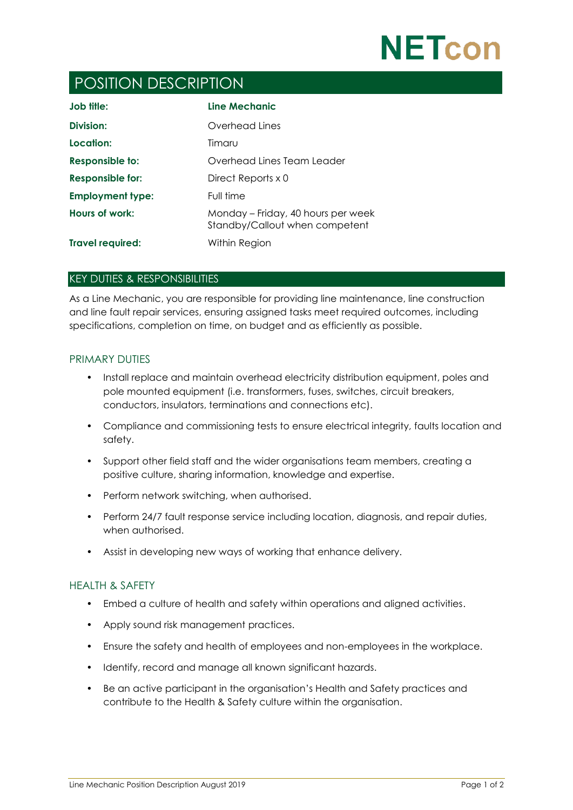

# POSITION DESCRIPTION

| Job title:              | Line Mechanic                                                        |
|-------------------------|----------------------------------------------------------------------|
| Division:               | Overhead Lines                                                       |
| Location:               | Timaru                                                               |
| Responsible to:         | Overhead Lines Team Leader                                           |
| <b>Responsible for:</b> | Direct Reports x 0                                                   |
| <b>Employment type:</b> | Full time                                                            |
| Hours of work:          | Monday - Friday, 40 hours per week<br>Standby/Callout when competent |
| <b>Travel required:</b> | Within Region                                                        |

#### KEY DUTIES & RESPONSIBILITIES

As a Line Mechanic, you are responsible for providing line maintenance, line construction and line fault repair services, ensuring assigned tasks meet required outcomes, including specifications, completion on time, on budget and as efficiently as possible.

#### PRIMARY DUTIES

- Install replace and maintain overhead electricity distribution equipment, poles and pole mounted equipment (i.e. transformers, fuses, switches, circuit breakers, conductors, insulators, terminations and connections etc).
- Compliance and commissioning tests to ensure electrical integrity, faults location and safety.
- Support other field staff and the wider organisations team members, creating a positive culture, sharing information, knowledge and expertise.
- Perform network switching, when authorised.
- Perform 24/7 fault response service including location, diagnosis, and repair duties, when authorised.
- Assist in developing new ways of working that enhance delivery.

## HEALTH & SAFETY

- Embed a culture of health and safety within operations and aligned activities.
- Apply sound risk management practices.
- Ensure the safety and health of employees and non-employees in the workplace.
- Identify, record and manage all known significant hazards.
- Be an active participant in the organisation's Health and Safety practices and contribute to the Health & Safety culture within the organisation.